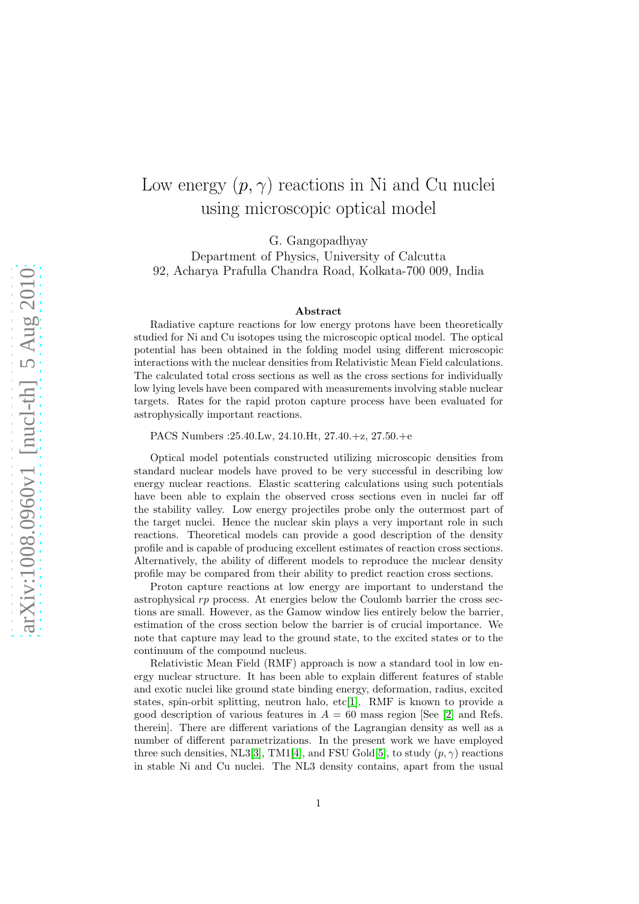## Low energy  $(p, \gamma)$  reactions in Ni and Cu nuclei using microscopic optical model

G. Gangopadhyay

Department of Physics, University of Calcutta 92, Acharya Prafulla Chandra Road, Kolkata-700 009, India

## Abstract

Radiative capture reactions for low energy protons have been theoretically studied for Ni and Cu isotopes using the microscopic optical model. The optical potential has been obtained in the folding model using different microscopic interactions with the nuclear densities from Relativistic Mean Field calculations. The calculated total cross sections as well as the cross sections for individually low lying levels have been compared with measurements involving stable nuclear targets. Rates for the rapid proton capture process have been evaluated for astrophysically important reactions.

PACS Numbers :25.40.Lw, 24.10.Ht, 27.40.+z, 27.50.+e

Optical model potentials constructed utilizing microscopic densities from standard nuclear models have proved to be very successful in describing low energy nuclear reactions. Elastic scattering calculations using such potentials have been able to explain the observed cross sections even in nuclei far off the stability valley. Low energy projectiles probe only the outermost part of the target nuclei. Hence the nuclear skin plays a very important role in such reactions. Theoretical models can provide a good description of the density profile and is capable of producing excellent estimates of reaction cross sections. Alternatively, the ability of different models to reproduce the nuclear density profile may be compared from their ability to predict reaction cross sections.

Proton capture reactions at low energy are important to understand the astrophysical rp process. At energies below the Coulomb barrier the cross sections are small. However, as the Gamow window lies entirely below the barrier, estimation of the cross section below the barrier is of crucial importance. We note that capture may lead to the ground state, to the excited states or to the continuum of the compound nucleus.

Relativistic Mean Field (RMF) approach is now a standard tool in low energy nuclear structure. It has been able to explain different features of stable and exotic nuclei like ground state binding energy, deformation, radius, excited states, spin-orbit splitting, neutron halo, etc[\[1\]](#page-4-0). RMF is known to provide a good description of various features in  $A = 60$  mass region [See [\[2\]](#page-4-1) and Refs. therein]. There are different variations of the Lagrangian density as well as a number of different parametrizations. In the present work we have employed three such densities, NL3[\[3\]](#page-4-2), TM1[\[4\]](#page-4-3), and FSU Gold[\[5\]](#page-4-4), to study  $(p, \gamma)$  reactions in stable Ni and Cu nuclei. The NL3 density contains, apart from the usual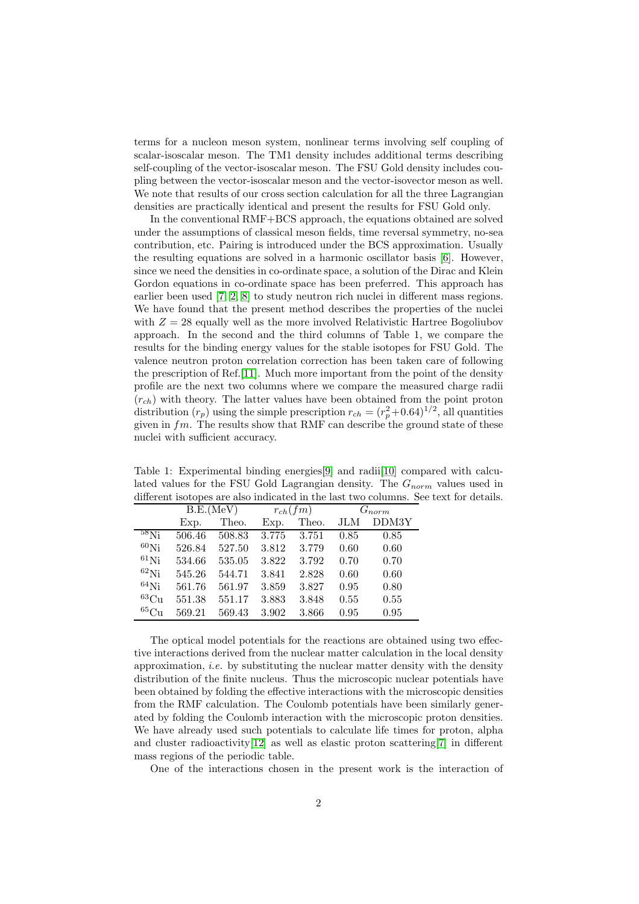terms for a nucleon meson system, nonlinear terms involving self coupling of scalar-isoscalar meson. The TM1 density includes additional terms describing self-coupling of the vector-isoscalar meson. The FSU Gold density includes coupling between the vector-isoscalar meson and the vector-isovector meson as well. We note that results of our cross section calculation for all the three Lagrangian densities are practically identical and present the results for FSU Gold only.

In the conventional RMF+BCS approach, the equations obtained are solved under the assumptions of classical meson fields, time reversal symmetry, no-sea contribution, etc. Pairing is introduced under the BCS approximation. Usually the resulting equations are solved in a harmonic oscillator basis [\[6\]](#page-4-5). However, since we need the densities in co-ordinate space, a solution of the Dirac and Klein Gordon equations in co-ordinate space has been preferred. This approach has earlier been used [\[7,](#page-4-6) [2,](#page-4-1) [8\]](#page-4-7) to study neutron rich nuclei in different mass regions. We have found that the present method describes the properties of the nuclei with  $Z = 28$  equally well as the more involved Relativistic Hartree Bogoliubov approach. In the second and the third columns of Table 1, we compare the results for the binding energy values for the stable isotopes for FSU Gold. The valence neutron proton correlation correction has been taken care of following the prescription of Ref.[\[11\]](#page-4-8). Much more important from the point of the density profile are the next two columns where we compare the measured charge radii  $(r_{ch})$  with theory. The latter values have been obtained from the point proton distribution  $(r_p)$  using the simple prescription  $r_{ch} = (r_p^2 + 0.64)^{1/2}$ , all quantities given in  $fm$ . The results show that RMF can describe the ground state of these nuclei with sufficient accuracy.

Table 1: Experimental binding energies[\[9\]](#page-4-9) and radii[\[10\]](#page-4-10) compared with calculated values for the FSU Gold Lagrangian density. The  $G_{norm}$  values used in different isotopes are also indicated in the last two columns. See text for details.

|                          | B.E.(MeV) |        | $r_{ch}(fm)$ |       | $G_{norm}$ |       |
|--------------------------|-----------|--------|--------------|-------|------------|-------|
|                          | Exp.      | Theo.  | Exp.         | Theo. | JLM        | DDM3Y |
| $58\overline{\text{Ni}}$ | 506.46    | 508.83 | 3.775        | 3.751 | 0.85       | 0.85  |
| $60$ Ni                  | 526.84    | 527.50 | 3.812        | 3.779 | 0.60       | 0.60  |
| $61$ Ni                  | 534.66    | 535.05 | 3.822        | 3.792 | 0.70       | 0.70  |
| $^{62}$ Ni               | 545.26    | 544.71 | 3.841        | 2.828 | 0.60       | 0.60  |
| $64$ Ni                  | 561.76    | 561.97 | 3.859        | 3.827 | 0.95       | 0.80  |
| ${}^{63}Cu$              | 551.38    | 551.17 | 3.883        | 3.848 | 0.55       | 0.55  |
| $^{65}\mathrm{Cu}$       | 569.21    | 569.43 | 3.902        | 3.866 | 0.95       | 0.95  |

The optical model potentials for the reactions are obtained using two effective interactions derived from the nuclear matter calculation in the local density approximation, *i.e.* by substituting the nuclear matter density with the density distribution of the finite nucleus. Thus the microscopic nuclear potentials have been obtained by folding the effective interactions with the microscopic densities from the RMF calculation. The Coulomb potentials have been similarly generated by folding the Coulomb interaction with the microscopic proton densities. We have already used such potentials to calculate life times for proton, alpha and cluster radioactivity[\[12\]](#page-4-11) as well as elastic proton scattering[\[7\]](#page-4-6) in different mass regions of the periodic table.

One of the interactions chosen in the present work is the interaction of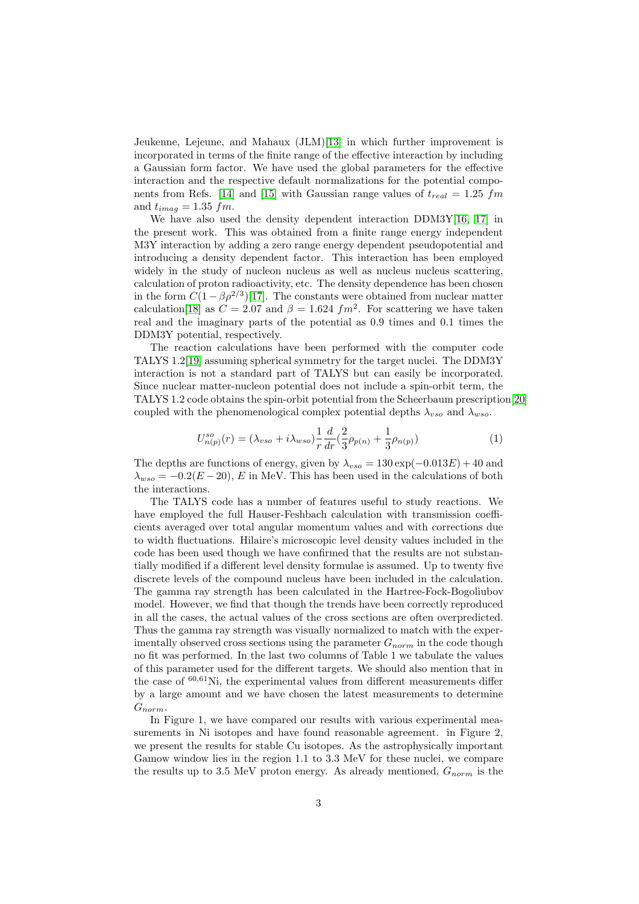Jeukenne, Lejeune, and Mahaux (JLM)[\[13\]](#page-4-12) in which further improvement is incorporated in terms of the finite range of the effective interaction by including a Gaussian form factor. We have used the global parameters for the effective interaction and the respective default normalizations for the potential compo-nents from Refs. [\[14\]](#page-4-13) and [\[15\]](#page-4-14) with Gaussian range values of  $t_{real} = 1.25$  fm and  $t_{imag} = 1.35$   $fm$ .

We have also used the density dependent interaction DDM3Y[\[16,](#page-4-15) [17\]](#page-4-16) in the present work. This was obtained from a finite range energy independent M3Y interaction by adding a zero range energy dependent pseudopotential and introducing a density dependent factor. This interaction has been employed widely in the study of nucleon nucleus as well as nucleus nucleus scattering, calculation of proton radioactivity, etc. The density dependence has been chosen in the form  $C(1 - \beta \rho^{2/3})$ [\[17\]](#page-4-16). The constants were obtained from nuclear matter calculation[\[18\]](#page-4-17) as  $C = 2.07$  and  $\beta = 1.624$   $fm^2$ . For scattering we have taken real and the imaginary parts of the potential as 0.9 times and 0.1 times the DDM3Y potential, respectively.

The reaction calculations have been performed with the computer code TALYS 1.2[\[19\]](#page-4-18) assuming spherical symmetry for the target nuclei. The DDM3Y interaction is not a standard part of TALYS but can easily be incorporated. Since nuclear matter-nucleon potential does not include a spin-orbit term, the TALYS 1.2 code obtains the spin-orbit potential from the Scheerbaum prescription[\[20\]](#page-5-0) coupled with the phenomenological complex potential depths  $\lambda_{vso}$  and  $\lambda_{wso}$ .

$$
U_{n(p)}^{so}(r) = (\lambda_{vso} + i\lambda_{wso})\frac{1}{r}\frac{d}{dr}\left(\frac{2}{3}\rho_{p(n)} + \frac{1}{3}\rho_{n(p)}\right)
$$
 (1)

The depths are functions of energy, given by  $\lambda_{vso} = 130 \exp(-0.013E) + 40$  and  $\lambda_{\text{wso}} = -0.2(E - 20)$ , E in MeV. This has been used in the calculations of both the interactions.

The TALYS code has a number of features useful to study reactions. We have employed the full Hauser-Feshbach calculation with transmission coefficients averaged over total angular momentum values and with corrections due to width fluctuations. Hilaire's microscopic level density values included in the code has been used though we have confirmed that the results are not substantially modified if a different level density formulae is assumed. Up to twenty five discrete levels of the compound nucleus have been included in the calculation. The gamma ray strength has been calculated in the Hartree-Fock-Bogoliubov model. However, we find that though the trends have been correctly reproduced in all the cases, the actual values of the cross sections are often overpredicted. Thus the gamma ray strength was visually normalized to match with the experimentally observed cross sections using the parameter  $G_{norm}$  in the code though no fit was performed. In the last two columns of Table 1 we tabulate the values of this parameter used for the different targets. We should also mention that in the case of  $60,61$ Ni, the experimental values from different measurements differ by a large amount and we have chosen the latest measurements to determine  $G_{norm}$ .

In Figure 1, we have compared our results with various experimental measurements in Ni isotopes and have found reasonable agreement. in Figure 2, we present the results for stable Cu isotopes. As the astrophysically important Gamow window lies in the region 1.1 to 3.3 MeV for these nuclei, we compare the results up to 3.5 MeV proton energy. As already mentioned,  $G_{norm}$  is the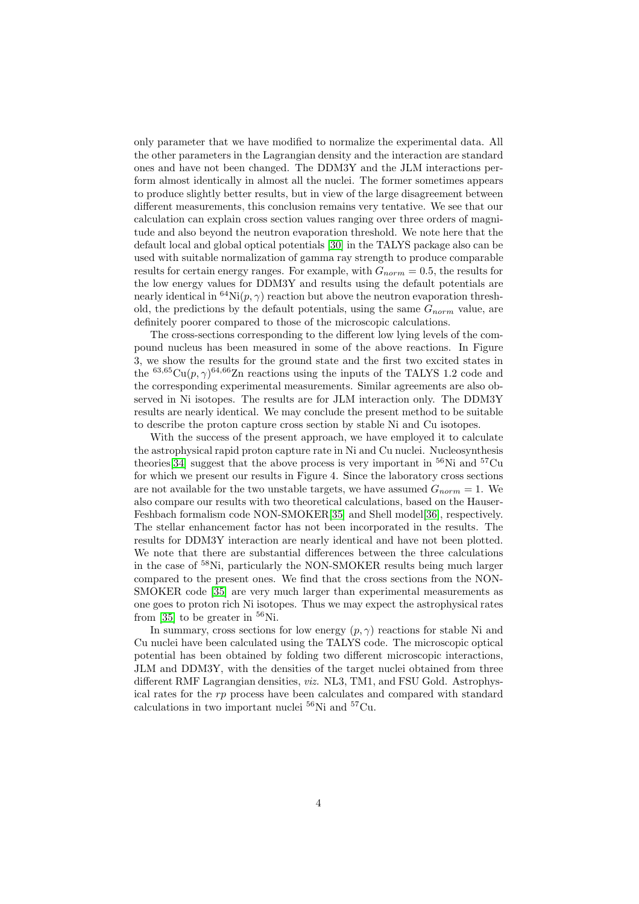only parameter that we have modified to normalize the experimental data. All the other parameters in the Lagrangian density and the interaction are standard ones and have not been changed. The DDM3Y and the JLM interactions perform almost identically in almost all the nuclei. The former sometimes appears to produce slightly better results, but in view of the large disagreement between different measurements, this conclusion remains very tentative. We see that our calculation can explain cross section values ranging over three orders of magnitude and also beyond the neutron evaporation threshold. We note here that the default local and global optical potentials [\[30\]](#page-5-1) in the TALYS package also can be used with suitable normalization of gamma ray strength to produce comparable results for certain energy ranges. For example, with  $G_{norm} = 0.5$ , the results for the low energy values for DDM3Y and results using the default potentials are nearly identical in <sup>64</sup>Ni( $p, \gamma$ ) reaction but above the neutron evaporation threshold, the predictions by the default potentials, using the same  $G_{norm}$  value, are definitely poorer compared to those of the microscopic calculations.

The cross-sections corresponding to the different low lying levels of the compound nucleus has been measured in some of the above reactions. In Figure 3, we show the results for the ground state and the first two excited states in the <sup>63,65</sup>Cu( $p, \gamma$ )<sup>64,66</sup>Zn reactions using the inputs of the TALYS 1.2 code and the corresponding experimental measurements. Similar agreements are also observed in Ni isotopes. The results are for JLM interaction only. The DDM3Y results are nearly identical. We may conclude the present method to be suitable to describe the proton capture cross section by stable Ni and Cu isotopes.

With the success of the present approach, we have employed it to calculate the astrophysical rapid proton capture rate in Ni and Cu nuclei. Nucleosynthesis theories [\[34\]](#page-5-2) suggest that the above process is very important in  $56$ Ni and  $57$ Cu for which we present our results in Figure 4. Since the laboratory cross sections are not available for the two unstable targets, we have assumed  $G_{norm} = 1$ . We also compare our results with two theoretical calculations, based on the Hauser-Feshbach formalism code NON-SMOKER[\[35\]](#page-5-3) and Shell model[\[36\]](#page-5-4), respectively. The stellar enhancement factor has not been incorporated in the results. The results for DDM3Y interaction are nearly identical and have not been plotted. We note that there are substantial differences between the three calculations in the case of <sup>58</sup>Ni, particularly the NON-SMOKER results being much larger compared to the present ones. We find that the cross sections from the NON-SMOKER code [\[35\]](#page-5-3) are very much larger than experimental measurements as one goes to proton rich Ni isotopes. Thus we may expect the astrophysical rates from  $[35]$  to be greater in  $56$ Ni.

In summary, cross sections for low energy  $(p, \gamma)$  reactions for stable Ni and Cu nuclei have been calculated using the TALYS code. The microscopic optical potential has been obtained by folding two different microscopic interactions, JLM and DDM3Y, with the densities of the target nuclei obtained from three different RMF Lagrangian densities, *viz.* NL3, TM1, and FSU Gold. Astrophysical rates for the rp process have been calculates and compared with standard calculations in two important nuclei <sup>56</sup>Ni and <sup>57</sup>Cu.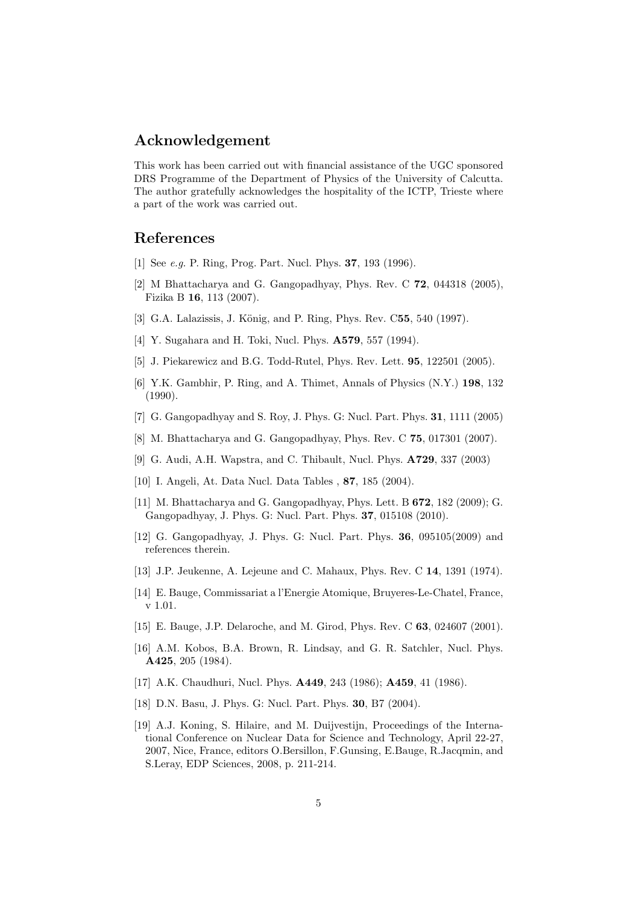## Acknowledgement

This work has been carried out with financial assistance of the UGC sponsored DRS Programme of the Department of Physics of the University of Calcutta. The author gratefully acknowledges the hospitality of the ICTP, Trieste where a part of the work was carried out.

## <span id="page-4-0"></span>References

- <span id="page-4-1"></span>[1] See *e.g.* P. Ring, Prog. Part. Nucl. Phys. **37**, 193 (1996).
- [2] M Bhattacharya and G. Gangopadhyay, Phys. Rev. C 72, 044318 (2005), Fizika B 16, 113 (2007).
- <span id="page-4-3"></span><span id="page-4-2"></span>[3] G.A. Lalazissis, J. König, and P. Ring, Phys. Rev. C55, 540 (1997).
- <span id="page-4-4"></span>[4] Y. Sugahara and H. Toki, Nucl. Phys. **A579**, 557 (1994).
- <span id="page-4-5"></span>[5] J. Piekarewicz and B.G. Todd-Rutel, Phys. Rev. Lett. 95, 122501 (2005).
- [6] Y.K. Gambhir, P. Ring, and A. Thimet, Annals of Physics (N.Y.) 198, 132 (1990).
- <span id="page-4-7"></span><span id="page-4-6"></span>[7] G. Gangopadhyay and S. Roy, J. Phys. G: Nucl. Part. Phys. 31, 1111 (2005)
- <span id="page-4-9"></span>[8] M. Bhattacharya and G. Gangopadhyay, Phys. Rev. C 75, 017301 (2007).
- <span id="page-4-10"></span>[9] G. Audi, A.H. Wapstra, and C. Thibault, Nucl. Phys. A729, 337 (2003)
- <span id="page-4-8"></span>[10] I. Angeli, At. Data Nucl. Data Tables , 87, 185 (2004).
- [11] M. Bhattacharya and G. Gangopadhyay, Phys. Lett. B 672, 182 (2009); G. Gangopadhyay, J. Phys. G: Nucl. Part. Phys. 37, 015108 (2010).
- <span id="page-4-12"></span><span id="page-4-11"></span>[12] G. Gangopadhyay, J. Phys. G: Nucl. Part. Phys. 36, 095105(2009) and references therein.
- <span id="page-4-13"></span>[13] J.P. Jeukenne, A. Lejeune and C. Mahaux, Phys. Rev. C 14, 1391 (1974).
- <span id="page-4-14"></span>[14] E. Bauge, Commissariat a l'Energie Atomique, Bruyeres-Le-Chatel, France, v 1.01.
- <span id="page-4-15"></span>[15] E. Bauge, J.P. Delaroche, and M. Girod, Phys. Rev. C 63, 024607 (2001).
- [16] A.M. Kobos, B.A. Brown, R. Lindsay, and G. R. Satchler, Nucl. Phys. A425, 205 (1984).
- <span id="page-4-17"></span><span id="page-4-16"></span>[17] A.K. Chaudhuri, Nucl. Phys. **A449**, 243 (1986); **A459**, 41 (1986).
- <span id="page-4-18"></span>[18] D.N. Basu, J. Phys. G: Nucl. Part. Phys. 30, B7 (2004).
- [19] A.J. Koning, S. Hilaire, and M. Duijvestijn, Proceedings of the International Conference on Nuclear Data for Science and Technology, April 22-27, 2007, Nice, France, editors O.Bersillon, F.Gunsing, E.Bauge, R.Jacqmin, and S.Leray, EDP Sciences, 2008, p. 211-214.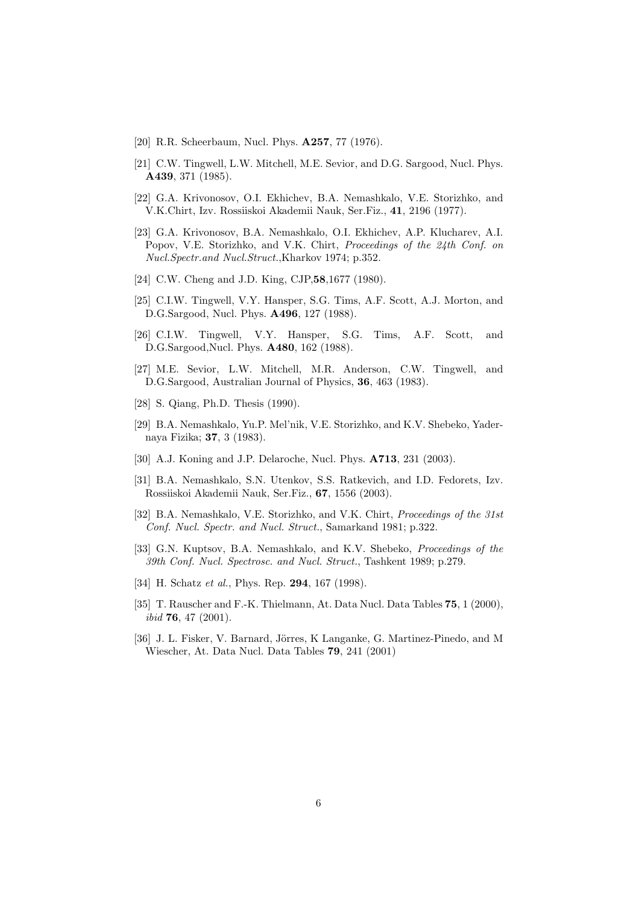- <span id="page-5-5"></span><span id="page-5-0"></span>[20] R.R. Scheerbaum, Nucl. Phys. **A257**, 77 (1976).
- [21] C.W. Tingwell, L.W. Mitchell, M.E. Sevior, and D.G. Sargood, Nucl. Phys. A439, 371 (1985).
- <span id="page-5-6"></span>[22] G.A. Krivonosov, O.I. Ekhichev, B.A. Nemashkalo, V.E. Storizhko, and V.K.Chirt, Izv. Rossiiskoi Akademii Nauk, Ser.Fiz., 41, 2196 (1977).
- <span id="page-5-7"></span>[23] G.A. Krivonosov, B.A. Nemashkalo, O.I. Ekhichev, A.P. Klucharev, A.I. Popov, V.E. Storizhko, and V.K. Chirt, Proceedings of the 24th Conf. on Nucl.Spectr.and Nucl.Struct.,Kharkov 1974; p.352.
- <span id="page-5-9"></span><span id="page-5-8"></span>[24] C.W. Cheng and J.D. King, CJP, 58, 1677 (1980).
- [25] C.I.W. Tingwell, V.Y. Hansper, S.G. Tims, A.F. Scott, A.J. Morton, and D.G.Sargood, Nucl. Phys. A496, 127 (1988).
- <span id="page-5-10"></span>[26] C.I.W. Tingwell, V.Y. Hansper, S.G. Tims, A.F. Scott, and D.G.Sargood,Nucl. Phys. A480, 162 (1988).
- <span id="page-5-11"></span>[27] M.E. Sevior, L.W. Mitchell, M.R. Anderson, C.W. Tingwell, and D.G.Sargood, Australian Journal of Physics, 36, 463 (1983).
- <span id="page-5-13"></span><span id="page-5-12"></span>[28] S. Qiang, Ph.D. Thesis (1990).
- [29] B.A. Nemashkalo, Yu.P. Mel'nik, V.E. Storizhko, and K.V. Shebeko, Yadernaya Fizika; 37, 3 (1983).
- <span id="page-5-14"></span><span id="page-5-1"></span>[30] A.J. Koning and J.P. Delaroche, Nucl. Phys. **A713**, 231 (2003).
- [31] B.A. Nemashkalo, S.N. Utenkov, S.S. Ratkevich, and I.D. Fedorets, Izv. Rossiiskoi Akademii Nauk, Ser.Fiz., 67, 1556 (2003).
- <span id="page-5-15"></span>[32] B.A. Nemashkalo, V.E. Storizhko, and V.K. Chirt, *Proceedings of the 31st* Conf. Nucl. Spectr. and Nucl. Struct., Samarkand 1981; p.322.
- [33] G.N. Kuptsov, B.A. Nemashkalo, and K.V. Shebeko, *Proceedings of the* 39th Conf. Nucl. Spectrosc. and Nucl. Struct., Tashkent 1989; p.279.
- <span id="page-5-3"></span><span id="page-5-2"></span>[34] H. Schatz et al., Phys. Rep. **294**, 167 (1998).
- [35] T. Rauscher and F.-K. Thielmann, At. Data Nucl. Data Tables 75, 1 (2000), ibid 76, 47 (2001).
- <span id="page-5-4"></span>[36] J. L. Fisker, V. Barnard, Jörres, K Langanke, G. Martinez-Pinedo, and M Wiescher, At. Data Nucl. Data Tables 79, 241 (2001)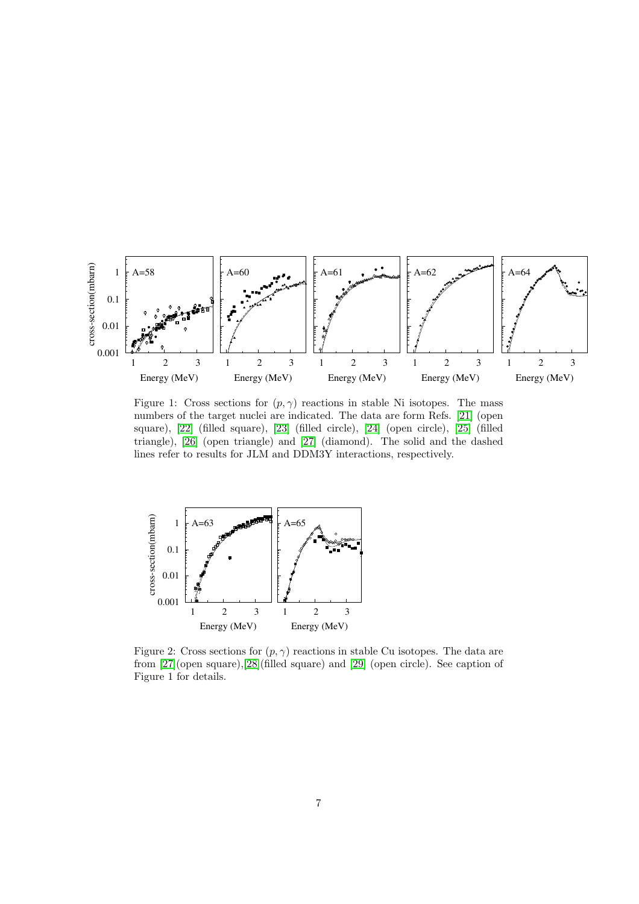

Figure 1: Cross sections for  $(p, \gamma)$  reactions in stable Ni isotopes. The mass numbers of the target nuclei are indicated. The data are form Refs. [\[21\]](#page-5-5) (open square), [\[22\]](#page-5-6) (filled square), [\[23\]](#page-5-7) (filled circle), [\[24\]](#page-5-8) (open circle), [\[25\]](#page-5-9) (filled triangle), [\[26\]](#page-5-10) (open triangle) and [\[27\]](#page-5-11) (diamond). The solid and the dashed lines refer to results for JLM and DDM3Y interactions, respectively.



Figure 2: Cross sections for  $(p, \gamma)$  reactions in stable Cu isotopes. The data are from [\[27\]](#page-5-11)(open square),[\[28\]](#page-5-12)(filled square) and [\[29\]](#page-5-13) (open circle). See caption of Figure 1 for details.